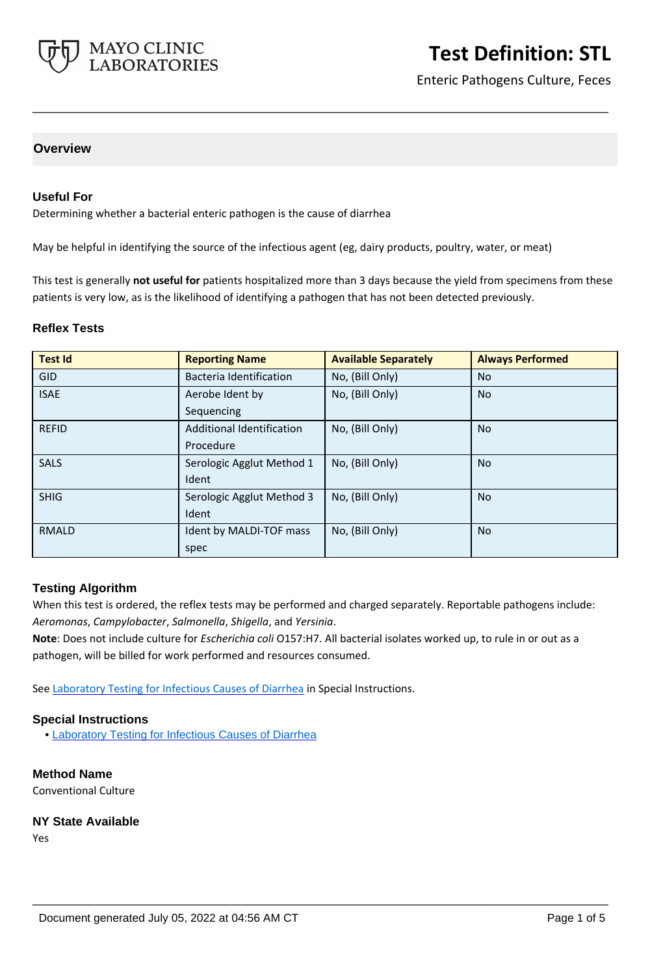

# **Test Definition: STL**

Enteric Pathogens Culture, Feces

## **Overview**

### **Useful For**

Determining whether a bacterial enteric pathogen is the cause of diarrhea

May be helpful in identifying the source of the infectious agent (eg, dairy products, poultry, water, or meat)

This test is generally **not useful for** patients hospitalized more than 3 days because the yield from specimens from these patients is very low, as is the likelihood of identifying a pathogen that has not been detected previously.

**\_\_\_\_\_\_\_\_\_\_\_\_\_\_\_\_\_\_\_\_\_\_\_\_\_\_\_\_\_\_\_\_\_\_\_\_\_\_\_\_\_\_\_\_\_\_\_\_\_\_\_**

#### **Reflex Tests**

| <b>Test Id</b> | <b>Reporting Name</b>     | <b>Available Separately</b> | <b>Always Performed</b> |
|----------------|---------------------------|-----------------------------|-------------------------|
| <b>GID</b>     | Bacteria Identification   | No, (Bill Only)             | <b>No</b>               |
| <b>ISAE</b>    | Aerobe Ident by           | No, (Bill Only)             | <b>No</b>               |
|                | Sequencing                |                             |                         |
| <b>REFID</b>   | Additional Identification | No, (Bill Only)             | <b>No</b>               |
|                | Procedure                 |                             |                         |
| <b>SALS</b>    | Serologic Agglut Method 1 | No, (Bill Only)             | <b>No</b>               |
|                | Ident                     |                             |                         |
| <b>SHIG</b>    | Serologic Agglut Method 3 | No, (Bill Only)             | <b>No</b>               |
|                | Ident                     |                             |                         |
| <b>RMALD</b>   | Ident by MALDI-TOF mass   | No, (Bill Only)             | <b>No</b>               |
|                | spec                      |                             |                         |

#### **Testing Algorithm**

When this test is ordered, the reflex tests may be performed and charged separately. Reportable pathogens include: *Aeromonas*, *Campylobacter*, *Salmonella*, *Shigella*, and *Yersinia*.

**\_\_\_\_\_\_\_\_\_\_\_\_\_\_\_\_\_\_\_\_\_\_\_\_\_\_\_\_\_\_\_\_\_\_\_\_\_\_\_\_\_\_\_\_\_\_\_\_\_\_\_**

**Note**: Does not include culture for *Escherichia coli* O157:H7. All bacterial isolates worked up, to rule in or out as a pathogen, will be billed for work performed and resources consumed.

See [Laboratory Testing for Infectious Causes of Diarrhea](http://www.mayocliniclabs.com/it-mmfiles/Laboratory_Testing_For_Infectious_Causes_of_Diarrhea.pdf) in Special Instructions.

#### **Special Instructions**

• [Laboratory Testing for Infectious Causes of Diarrhea](http://www.mayocliniclabs.com/it-mmfiles/Laboratory_Testing_For_Infectious_Causes_of_Diarrhea.pdf)

**Method Name** Conventional Culture

#### **NY State Available**

Yes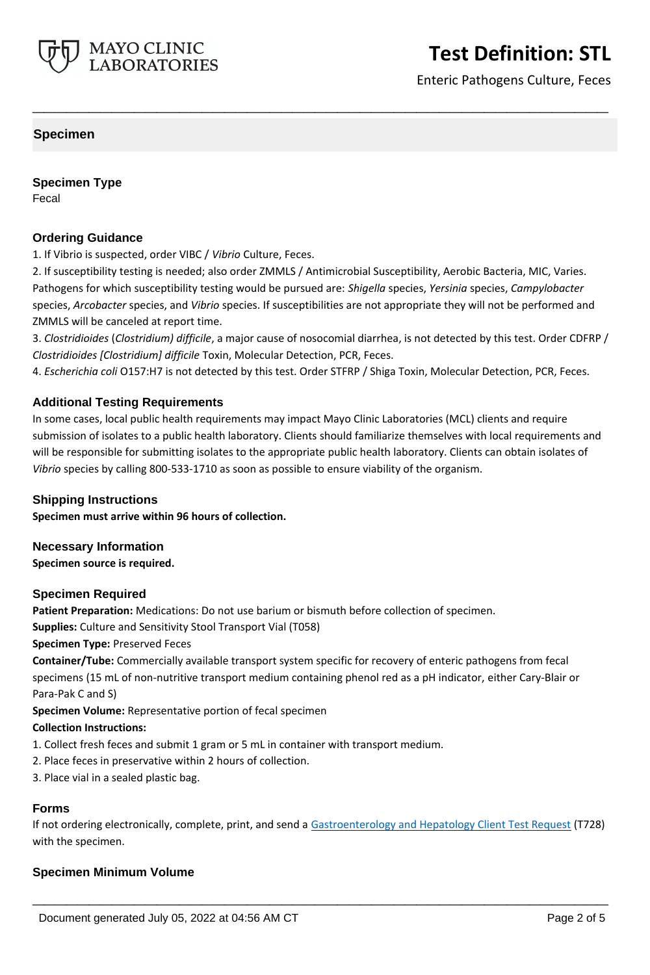

Enteric Pathogens Culture, Feces

## **Specimen**

**Specimen Type** Fecal

### **Ordering Guidance**

1. If Vibrio is suspected, order VIBC / *Vibrio* Culture, Feces.

2. If susceptibility testing is needed; also order ZMMLS / Antimicrobial Susceptibility, Aerobic Bacteria, MIC, Varies. Pathogens for which susceptibility testing would be pursued are: *Shigella* species, *Yersinia* species, *Campylobacter* species, *Arcobacter* species, and *Vibrio* species. If susceptibilities are not appropriate they will not be performed and ZMMLS will be canceled at report time.

**\_\_\_\_\_\_\_\_\_\_\_\_\_\_\_\_\_\_\_\_\_\_\_\_\_\_\_\_\_\_\_\_\_\_\_\_\_\_\_\_\_\_\_\_\_\_\_\_\_\_\_**

3. *Clostridioides* (*Clostridium) difficile*, a major cause of nosocomial diarrhea, is not detected by this test. Order CDFRP / *Clostridioides [Clostridium] difficile* Toxin, Molecular Detection, PCR, Feces.

4. *Escherichia coli* O157:H7 is not detected by this test. Order STFRP / Shiga Toxin, Molecular Detection, PCR, Feces.

#### **Additional Testing Requirements**

In some cases, local public health requirements may impact Mayo Clinic Laboratories (MCL) clients and require submission of isolates to a public health laboratory. Clients should familiarize themselves with local requirements and will be responsible for submitting isolates to the appropriate public health laboratory. Clients can obtain isolates of *Vibrio* species by calling 800-533-1710 as soon as possible to ensure viability of the organism.

#### **Shipping Instructions**

**Specimen must arrive within 96 hours of collection.**

#### **Necessary Information**

**Specimen source is required.**

#### **Specimen Required**

**Patient Preparation:** Medications: Do not use barium or bismuth before collection of specimen.

**Supplies:** Culture and Sensitivity Stool Transport Vial (T058)

**Specimen Type:** Preserved Feces

**Container/Tube:** Commercially available transport system specific for recovery of enteric pathogens from fecal specimens (15 mL of non-nutritive transport medium containing phenol red as a pH indicator, either Cary-Blair or Para-Pak C and S)

**Specimen Volume:** Representative portion of fecal specimen

#### **Collection Instructions:**

- 1. Collect fresh feces and submit 1 gram or 5 mL in container with transport medium.
- 2. Place feces in preservative within 2 hours of collection.
- 3. Place vial in a sealed plastic bag.

# **Forms**

If not ordering electronically, complete, print, and send a **[Gastroenterology and Hepatology Client Test Request](https://www.mayocliniclabs.com/it-mmfiles/gastroenterology-and-hepatology-test-request.pdf)** (T728) with the specimen.

**\_\_\_\_\_\_\_\_\_\_\_\_\_\_\_\_\_\_\_\_\_\_\_\_\_\_\_\_\_\_\_\_\_\_\_\_\_\_\_\_\_\_\_\_\_\_\_\_\_\_\_**

## **Specimen Minimum Volume**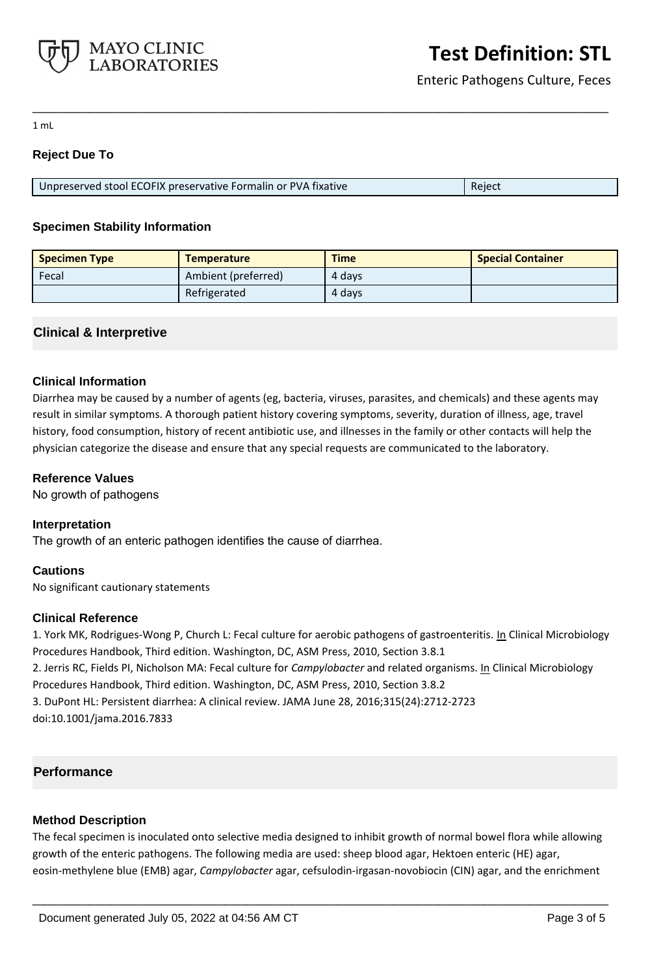

Enteric Pathogens Culture, Feces

1 mL

# **Reject Due To**

| Unpreserved stool ECOFIX preservative Formalin or PVA fixative | Reject |
|----------------------------------------------------------------|--------|

**\_\_\_\_\_\_\_\_\_\_\_\_\_\_\_\_\_\_\_\_\_\_\_\_\_\_\_\_\_\_\_\_\_\_\_\_\_\_\_\_\_\_\_\_\_\_\_\_\_\_\_**

# **Specimen Stability Information**

| <b>Specimen Type</b> | <b>Temperature</b>  | <b>Time</b> | <b>Special Container</b> |
|----------------------|---------------------|-------------|--------------------------|
| Fecal                | Ambient (preferred) | 4 days      |                          |
|                      | Refrigerated        | 4 days      |                          |

# **Clinical & Interpretive**

## **Clinical Information**

Diarrhea may be caused by a number of agents (eg, bacteria, viruses, parasites, and chemicals) and these agents may result in similar symptoms. A thorough patient history covering symptoms, severity, duration of illness, age, travel history, food consumption, history of recent antibiotic use, and illnesses in the family or other contacts will help the physician categorize the disease and ensure that any special requests are communicated to the laboratory.

## **Reference Values**

No growth of pathogens

## **Interpretation**

The growth of an enteric pathogen identifies the cause of diarrhea.

## **Cautions**

No significant cautionary statements

## **Clinical Reference**

1. York MK, Rodrigues-Wong P, Church L: Fecal culture for aerobic pathogens of gastroenteritis. In Clinical Microbiology Procedures Handbook, Third edition. Washington, DC, ASM Press, 2010, Section 3.8.1 2. Jerris RC, Fields PI, Nicholson MA: Fecal culture for *Campylobacter* and related organisms. In Clinical Microbiology Procedures Handbook, Third edition. Washington, DC, ASM Press, 2010, Section 3.8.2 3. DuPont HL: Persistent diarrhea: A clinical review. JAMA June 28, 2016;315(24):2712-2723 doi:10.1001/jama.2016.7833

# **Performance**

# **Method Description**

The fecal specimen is inoculated onto selective media designed to inhibit growth of normal bowel flora while allowing growth of the enteric pathogens. The following media are used: sheep blood agar, Hektoen enteric (HE) agar, eosin-methylene blue (EMB) agar, *Campylobacter* agar, cefsulodin-irgasan-novobiocin (CIN) agar, and the enrichment

**\_\_\_\_\_\_\_\_\_\_\_\_\_\_\_\_\_\_\_\_\_\_\_\_\_\_\_\_\_\_\_\_\_\_\_\_\_\_\_\_\_\_\_\_\_\_\_\_\_\_\_**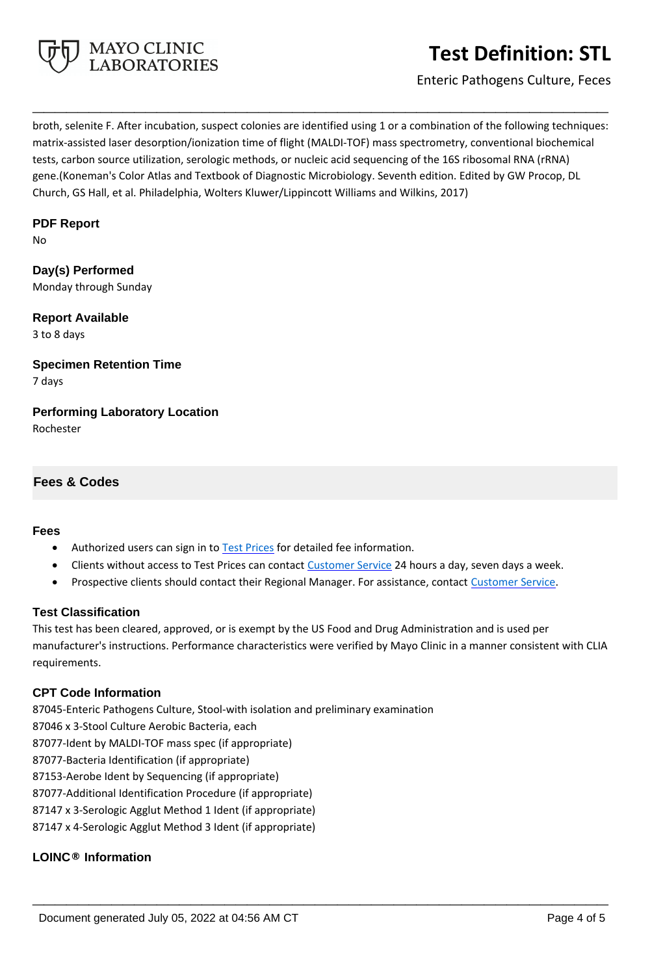

# **Test Definition: STL**

Enteric Pathogens Culture, Feces

broth, selenite F. After incubation, suspect colonies are identified using 1 or a combination of the following techniques: matrix-assisted laser desorption/ionization time of flight (MALDI-TOF) mass spectrometry, conventional biochemical tests, carbon source utilization, serologic methods, or nucleic acid sequencing of the 16S ribosomal RNA (rRNA) gene.(Koneman's Color Atlas and Textbook of Diagnostic Microbiology. Seventh edition. Edited by GW Procop, DL Church, GS Hall, et al. Philadelphia, Wolters Kluwer/Lippincott Williams and Wilkins, 2017)

**\_\_\_\_\_\_\_\_\_\_\_\_\_\_\_\_\_\_\_\_\_\_\_\_\_\_\_\_\_\_\_\_\_\_\_\_\_\_\_\_\_\_\_\_\_\_\_\_\_\_\_**

# **PDF Report**

No

**Day(s) Performed** Monday through Sunday

**Report Available** 3 to 8 days

**Specimen Retention Time** 7 days

**Performing Laboratory Location** Rochester

# **Fees & Codes**

## **Fees**

- Authorized users can sign in to [Test Prices](https://www.mayocliniclabs.com/customer-service/client-price-lookup/index.html?unit_code=STL) for detailed fee information.
- Clients without access to Test Prices can contact [Customer Service](http://www.mayocliniclabs.com/customer-service/contacts.html) 24 hours a day, seven days a week.
- **Prospective clients should contact their Regional Manager. For assistance, contact [Customer Service.](http://www.mayocliniclabs.com/customer-service/contacts.html)**

## **Test Classification**

This test has been cleared, approved, or is exempt by the US Food and Drug Administration and is used per manufacturer's instructions. Performance characteristics were verified by Mayo Clinic in a manner consistent with CLIA requirements.

**\_\_\_\_\_\_\_\_\_\_\_\_\_\_\_\_\_\_\_\_\_\_\_\_\_\_\_\_\_\_\_\_\_\_\_\_\_\_\_\_\_\_\_\_\_\_\_\_\_\_\_**

# **CPT Code Information**

87045-Enteric Pathogens Culture, Stool-with isolation and preliminary examination 87046 x 3-Stool Culture Aerobic Bacteria, each 87077-Ident by MALDI-TOF mass spec (if appropriate) 87077-Bacteria Identification (if appropriate) 87153-Aerobe Ident by Sequencing (if appropriate) 87077-Additional Identification Procedure (if appropriate) 87147 x 3-Serologic Agglut Method 1 Ident (if appropriate) 87147 x 4-Serologic Agglut Method 3 Ident (if appropriate)

# **LOINC® Information**